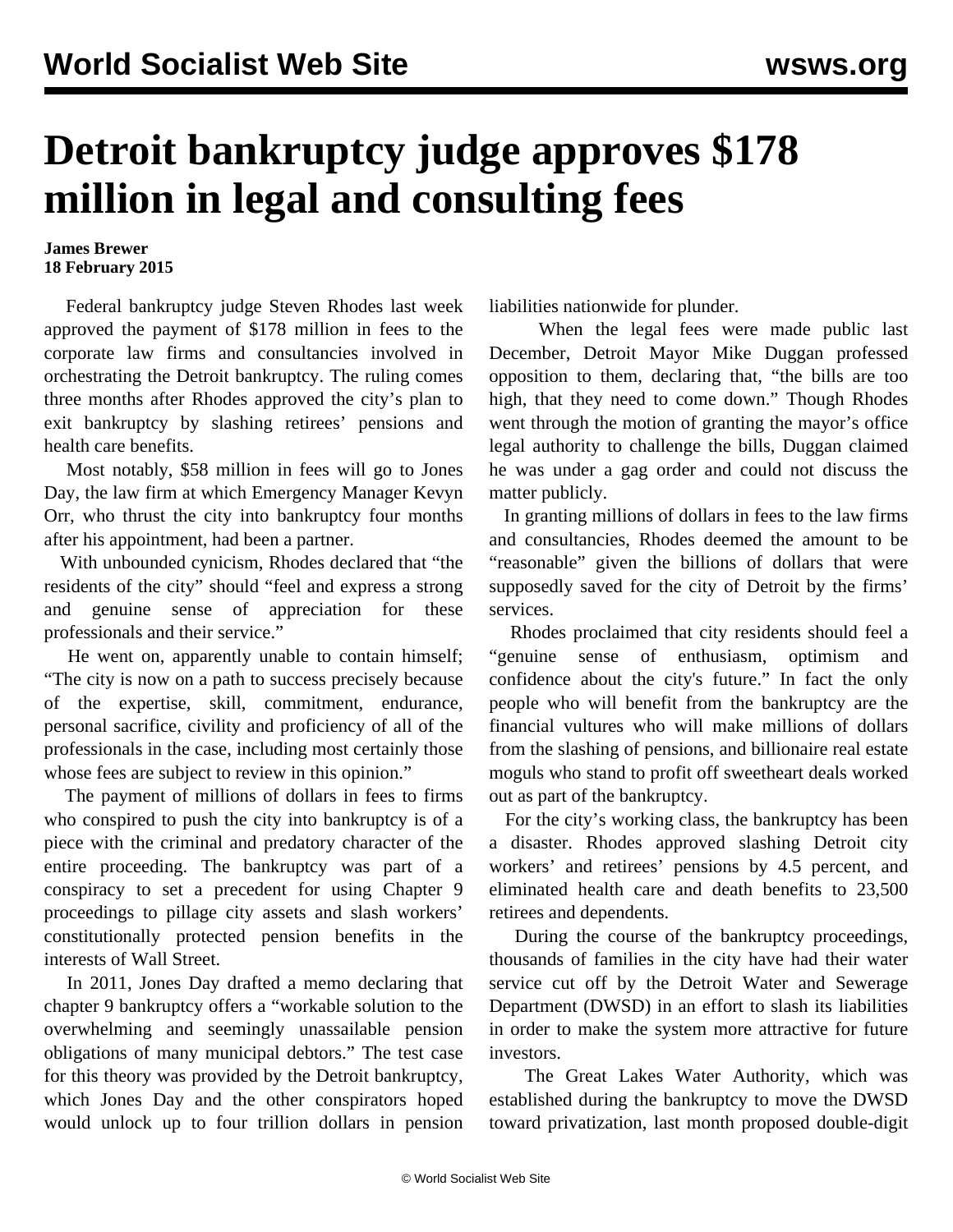## **Detroit bankruptcy judge approves \$178 million in legal and consulting fees**

## **James Brewer 18 February 2015**

 Federal bankruptcy judge Steven Rhodes last week approved the payment of \$178 million in fees to the corporate law firms and consultancies involved in orchestrating the Detroit bankruptcy. The ruling comes three months after Rhodes approved the city's plan to exit bankruptcy by slashing retirees' pensions and health care benefits.

 Most notably, \$58 million in fees will go to Jones Day, the law firm at which Emergency Manager Kevyn Orr, who thrust the city into bankruptcy four months after his appointment, had been a partner.

 With unbounded cynicism, Rhodes declared that "the residents of the city" should "feel and express a strong and genuine sense of appreciation for these professionals and their service."

 He went on, apparently unable to contain himself; "The city is now on a path to success precisely because of the expertise, skill, commitment, endurance, personal sacrifice, civility and proficiency of all of the professionals in the case, including most certainly those whose fees are subject to review in this opinion."

 The payment of millions of dollars in fees to firms who conspired to push the city into bankruptcy is of a piece with the criminal and predatory character of the entire proceeding. The bankruptcy was part of a conspiracy to set a precedent for using Chapter 9 proceedings to pillage city assets and slash workers' constitutionally protected pension benefits in the interests of Wall Street.

 In 2011, Jones Day drafted a memo declaring that chapter 9 bankruptcy offers a "workable solution to the overwhelming and seemingly unassailable pension obligations of many municipal debtors." The test case for this theory was provided by the Detroit bankruptcy, which Jones Day and the other conspirators hoped would unlock up to four trillion dollars in pension liabilities nationwide for plunder.

 When the legal fees were [made public](/en/articles/2014/12/13/detr-d13.html) last December, Detroit Mayor Mike Duggan professed opposition to them, declaring that, "the bills are too high, that they need to come down." Though Rhodes went through the motion of granting the mayor's office legal authority to challenge the bills, Duggan claimed he was under a gag order and could not discuss the matter publicly.

 In granting millions of dollars in fees to the law firms and consultancies, Rhodes deemed the amount to be "reasonable" given the billions of dollars that were supposedly saved for the city of Detroit by the firms' services.

 Rhodes proclaimed that city residents should feel a "genuine sense of enthusiasm, optimism and confidence about the city's future." In fact the only people who will benefit from the bankruptcy are the financial vultures who will make millions of dollars from the slashing of pensions, and billionaire real estate moguls who stand to profit off sweetheart deals worked out as part of the bankruptcy.

 For the city's working class, the bankruptcy has been a disaster. Rhodes approved slashing Detroit city workers' and retirees' pensions by 4.5 percent, and eliminated health care and death benefits to 23,500 retirees and dependents.

 During the course of the bankruptcy proceedings, thousands of families in the city have had their water service cut off by the Detroit Water and Sewerage Department (DWSD) in an effort to slash its liabilities in order to make the system more attractive for future investors.

 The Great Lakes Water Authority, which was established during the bankruptcy to move the DWSD toward privatization, last month proposed double-digit